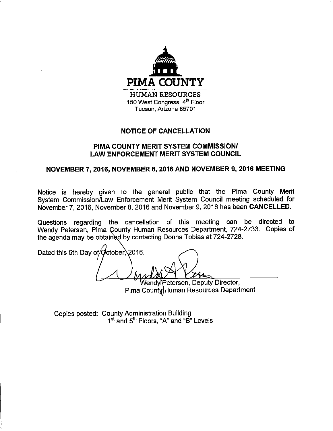

## **NOTICE OF CANCELLATION**

## PIMA COUNTY MERIT SYSTEM COMMISSION/ **LAW ENFORCEMENT MERIT SYSTEM COUNCIL**

## NOVEMBER 7, 2016, NOVEMBER 8, 2016 AND NOVEMBER 9, 2016 MEETING

Notice is hereby given to the general public that the Pima County Merit System Commission/Law Enforcement Merit System Council meeting scheduled for November 7, 2016, November 8, 2016 and November 9, 2016 has been CANCELLED.

Questions regarding the cancellation of this meeting can be directed to Wendy Petersen, Pima County Human Resources Department, 724-2733. Copies of the agenda may be obtained by contacting Donna Tobias at 724-2728.

Dated this 5th Day of/October\2016.

etersen, Deputy Director, Pima County Human Resources Department

Copies posted: County Administration Building 1<sup>st</sup> and 5<sup>th</sup> Floors, "A" and "B" Levels